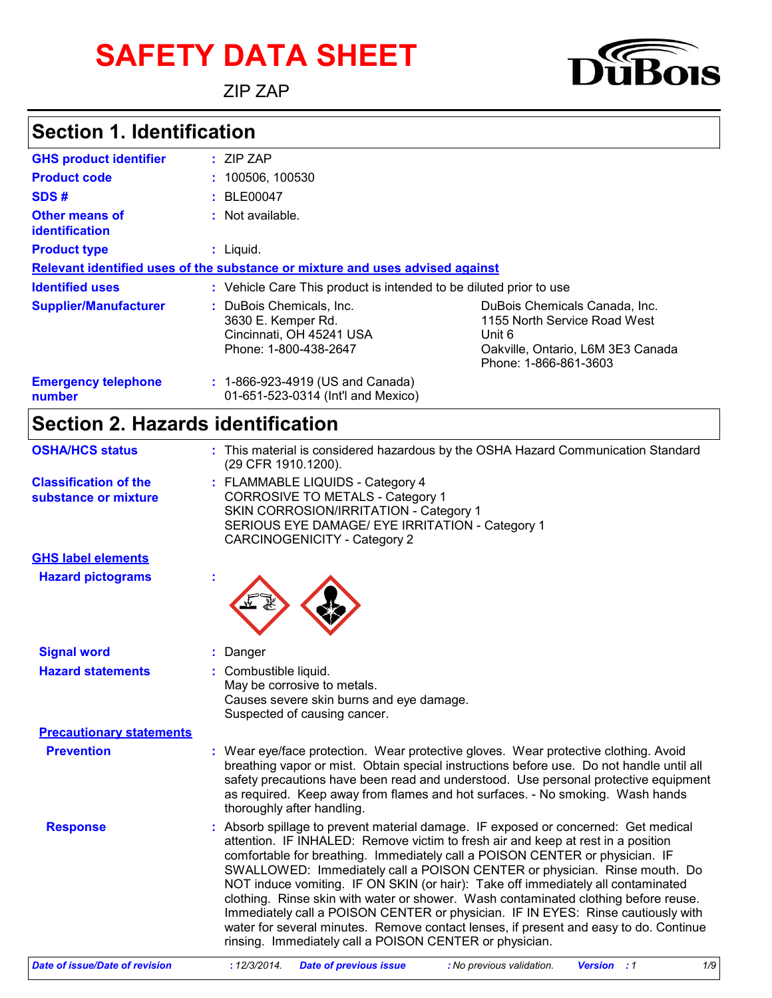# **SAFETY DATA SHEET**

ZIP ZAP



#### **Section 1. Identification**

| <b>GHS product identifier</b>           | $:$ ZIP ZAP                                                                                         |                                                                                                                                       |  |  |
|-----------------------------------------|-----------------------------------------------------------------------------------------------------|---------------------------------------------------------------------------------------------------------------------------------------|--|--|
| <b>Product code</b>                     | : 100506, 100530                                                                                    |                                                                                                                                       |  |  |
| SDS#                                    | : BLE00047                                                                                          |                                                                                                                                       |  |  |
| Other means of<br><i>identification</i> | $:$ Not available.                                                                                  |                                                                                                                                       |  |  |
| <b>Product type</b>                     | $:$ Liquid.                                                                                         |                                                                                                                                       |  |  |
|                                         | Relevant identified uses of the substance or mixture and uses advised against                       |                                                                                                                                       |  |  |
| <b>Identified uses</b>                  | : Vehicle Care This product is intended to be diluted prior to use                                  |                                                                                                                                       |  |  |
| <b>Supplier/Manufacturer</b>            | : DuBois Chemicals, Inc.<br>3630 E. Kemper Rd.<br>Cincinnati, OH 45241 USA<br>Phone: 1-800-438-2647 | DuBois Chemicals Canada, Inc.<br>1155 North Service Road West<br>Unit 6<br>Oakville, Ontario, L6M 3E3 Canada<br>Phone: 1-866-861-3603 |  |  |
| <b>Emergency telephone</b><br>number    | : 1-866-923-4919 (US and Canada)<br>01-651-523-0314 (Int'l and Mexico)                              |                                                                                                                                       |  |  |

### **Section 2. Hazards identification**

| <b>OSHA/HCS status</b>                               | : This material is considered hazardous by the OSHA Hazard Communication Standard<br>(29 CFR 1910.1200).                                                                                                                                                                                                                                                                                                                                                                                                                                                                                                                                                                                                                                               |  |
|------------------------------------------------------|--------------------------------------------------------------------------------------------------------------------------------------------------------------------------------------------------------------------------------------------------------------------------------------------------------------------------------------------------------------------------------------------------------------------------------------------------------------------------------------------------------------------------------------------------------------------------------------------------------------------------------------------------------------------------------------------------------------------------------------------------------|--|
| <b>Classification of the</b><br>substance or mixture | : FLAMMABLE LIQUIDS - Category 4<br>CORROSIVE TO METALS - Category 1<br>SKIN CORROSION/IRRITATION - Category 1<br>SERIOUS EYE DAMAGE/ EYE IRRITATION - Category 1<br><b>CARCINOGENICITY - Category 2</b>                                                                                                                                                                                                                                                                                                                                                                                                                                                                                                                                               |  |
| <b>GHS label elements</b>                            |                                                                                                                                                                                                                                                                                                                                                                                                                                                                                                                                                                                                                                                                                                                                                        |  |
| <b>Hazard pictograms</b>                             |                                                                                                                                                                                                                                                                                                                                                                                                                                                                                                                                                                                                                                                                                                                                                        |  |
| <b>Signal word</b>                                   | Danger                                                                                                                                                                                                                                                                                                                                                                                                                                                                                                                                                                                                                                                                                                                                                 |  |
| <b>Hazard statements</b>                             | : Combustible liquid.<br>May be corrosive to metals.<br>Causes severe skin burns and eye damage.<br>Suspected of causing cancer.                                                                                                                                                                                                                                                                                                                                                                                                                                                                                                                                                                                                                       |  |
| <b>Precautionary statements</b>                      |                                                                                                                                                                                                                                                                                                                                                                                                                                                                                                                                                                                                                                                                                                                                                        |  |
| <b>Prevention</b>                                    | : Wear eye/face protection. Wear protective gloves. Wear protective clothing. Avoid<br>breathing vapor or mist. Obtain special instructions before use. Do not handle until all<br>safety precautions have been read and understood. Use personal protective equipment<br>as required. Keep away from flames and hot surfaces. - No smoking. Wash hands<br>thoroughly after handling.                                                                                                                                                                                                                                                                                                                                                                  |  |
| <b>Response</b>                                      | : Absorb spillage to prevent material damage. IF exposed or concerned: Get medical<br>attention. IF INHALED: Remove victim to fresh air and keep at rest in a position<br>comfortable for breathing. Immediately call a POISON CENTER or physician. IF<br>SWALLOWED: Immediately call a POISON CENTER or physician. Rinse mouth. Do<br>NOT induce vomiting. IF ON SKIN (or hair): Take off immediately all contaminated<br>clothing. Rinse skin with water or shower. Wash contaminated clothing before reuse.<br>Immediately call a POISON CENTER or physician. IF IN EYES: Rinse cautiously with<br>water for several minutes. Remove contact lenses, if present and easy to do. Continue<br>rinsing. Immediately call a POISON CENTER or physician. |  |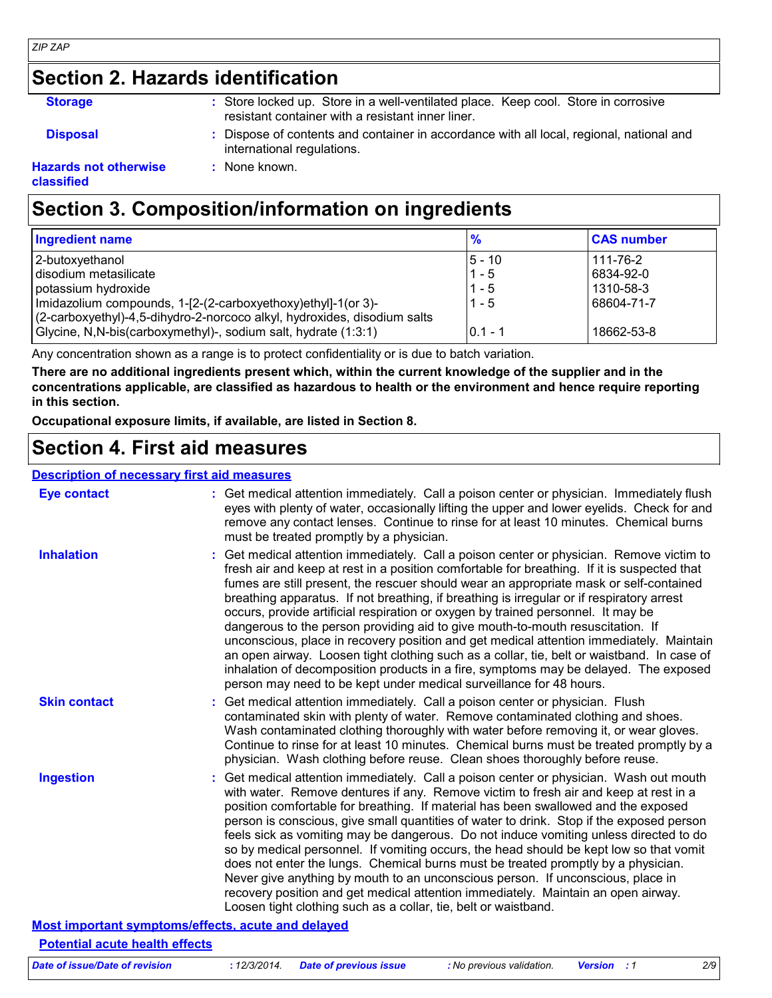#### *ZIP ZAP*

### **Section 2. Hazards identification**

| <b>Storage</b> |  | : Store locked up. Store in a well-ventilated place. Keep cool. Store in corrosive |  |
|----------------|--|------------------------------------------------------------------------------------|--|
|                |  | resistant container with a resistant inner liner.                                  |  |

**Disposal :** Dispose of contents and container in accordance with all local, regional, national and international regulations.

#### **Hazards not otherwise classified**

### **Section 3. Composition/information on ingredients**

**:** None known.

| <b>Ingredient name</b>                                                   | $\frac{9}{6}$ | <b>CAS number</b> |
|--------------------------------------------------------------------------|---------------|-------------------|
| 2-butoxyethanol                                                          | 5 - 10        | 111-76-2          |
| disodium metasilicate                                                    | $1 - 5$       | 6834-92-0         |
| potassium hydroxide                                                      | $1 - 5$       | 1310-58-3         |
| Imidazolium compounds, 1-[2-(2-carboxyethoxy)ethyl]-1(or 3)-             | $1 - 5$       | 68604-71-7        |
| (2-carboxyethyl)-4,5-dihydro-2-norcoco alkyl, hydroxides, disodium salts |               |                   |
| Glycine, N,N-bis(carboxymethyl)-, sodium salt, hydrate (1:3:1)           | $0.1 - 1$     | 18662-53-8        |

Any concentration shown as a range is to protect confidentiality or is due to batch variation.

**There are no additional ingredients present which, within the current knowledge of the supplier and in the concentrations applicable, are classified as hazardous to health or the environment and hence require reporting in this section.**

**Occupational exposure limits, if available, are listed in Section 8.**

#### **Section 4. First aid measures**

#### **Description of necessary first aid measures**

| <b>Eye contact</b>                    | : Get medical attention immediately. Call a poison center or physician. Immediately flush<br>eyes with plenty of water, occasionally lifting the upper and lower eyelids. Check for and<br>remove any contact lenses. Continue to rinse for at least 10 minutes. Chemical burns<br>must be treated promptly by a physician.                                                                                                                                                                                                                                                                                                                                                                                                                                                                                                                                                                                  |
|---------------------------------------|--------------------------------------------------------------------------------------------------------------------------------------------------------------------------------------------------------------------------------------------------------------------------------------------------------------------------------------------------------------------------------------------------------------------------------------------------------------------------------------------------------------------------------------------------------------------------------------------------------------------------------------------------------------------------------------------------------------------------------------------------------------------------------------------------------------------------------------------------------------------------------------------------------------|
| <b>Inhalation</b>                     | : Get medical attention immediately. Call a poison center or physician. Remove victim to<br>fresh air and keep at rest in a position comfortable for breathing. If it is suspected that<br>fumes are still present, the rescuer should wear an appropriate mask or self-contained<br>breathing apparatus. If not breathing, if breathing is irregular or if respiratory arrest<br>occurs, provide artificial respiration or oxygen by trained personnel. It may be<br>dangerous to the person providing aid to give mouth-to-mouth resuscitation. If<br>unconscious, place in recovery position and get medical attention immediately. Maintain<br>an open airway. Loosen tight clothing such as a collar, tie, belt or waistband. In case of<br>inhalation of decomposition products in a fire, symptoms may be delayed. The exposed<br>person may need to be kept under medical surveillance for 48 hours. |
| <b>Skin contact</b>                   | : Get medical attention immediately. Call a poison center or physician. Flush<br>contaminated skin with plenty of water. Remove contaminated clothing and shoes.<br>Wash contaminated clothing thoroughly with water before removing it, or wear gloves.<br>Continue to rinse for at least 10 minutes. Chemical burns must be treated promptly by a<br>physician. Wash clothing before reuse. Clean shoes thoroughly before reuse.                                                                                                                                                                                                                                                                                                                                                                                                                                                                           |
| <b>Ingestion</b>                      | : Get medical attention immediately. Call a poison center or physician. Wash out mouth<br>with water. Remove dentures if any. Remove victim to fresh air and keep at rest in a<br>position comfortable for breathing. If material has been swallowed and the exposed<br>person is conscious, give small quantities of water to drink. Stop if the exposed person<br>feels sick as vomiting may be dangerous. Do not induce vomiting unless directed to do<br>so by medical personnel. If vomiting occurs, the head should be kept low so that vomit<br>does not enter the lungs. Chemical burns must be treated promptly by a physician.<br>Never give anything by mouth to an unconscious person. If unconscious, place in<br>recovery position and get medical attention immediately. Maintain an open airway.<br>Loosen tight clothing such as a collar, tie, belt or waistband.                          |
|                                       | Most important symptoms/effects, acute and delayed                                                                                                                                                                                                                                                                                                                                                                                                                                                                                                                                                                                                                                                                                                                                                                                                                                                           |
| <b>Potential acute health effects</b> |                                                                                                                                                                                                                                                                                                                                                                                                                                                                                                                                                                                                                                                                                                                                                                                                                                                                                                              |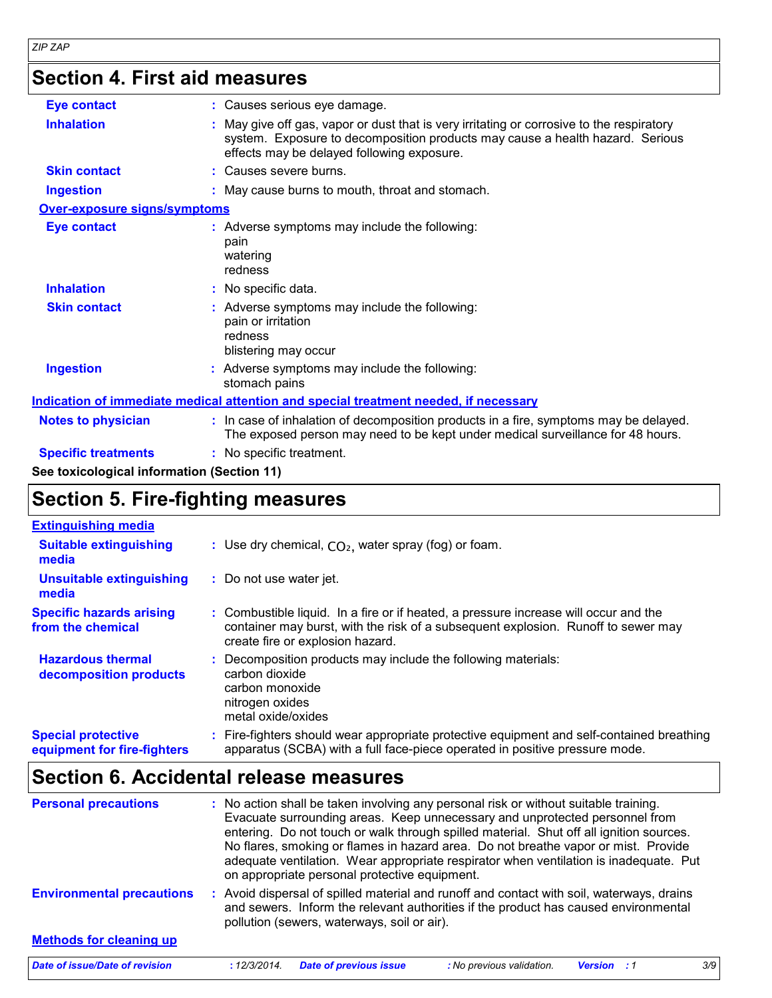## **Section 4. First aid measures**

| <b>Eye contact</b>           | : Causes serious eye damage.                                                                                                                                                                                             |
|------------------------------|--------------------------------------------------------------------------------------------------------------------------------------------------------------------------------------------------------------------------|
| <b>Inhalation</b>            | : May give off gas, vapor or dust that is very irritating or corrosive to the respiratory<br>system. Exposure to decomposition products may cause a health hazard. Serious<br>effects may be delayed following exposure. |
| <b>Skin contact</b>          | : Causes severe burns.                                                                                                                                                                                                   |
| <b>Ingestion</b>             | : May cause burns to mouth, throat and stomach.                                                                                                                                                                          |
| Over-exposure signs/symptoms |                                                                                                                                                                                                                          |
| <b>Eye contact</b>           | : Adverse symptoms may include the following:<br>pain<br>watering<br>redness                                                                                                                                             |
| <b>Inhalation</b>            | : No specific data.                                                                                                                                                                                                      |
| <b>Skin contact</b>          | : Adverse symptoms may include the following:<br>pain or irritation<br>redness<br>blistering may occur                                                                                                                   |
| <b>Ingestion</b>             | : Adverse symptoms may include the following:<br>stomach pains                                                                                                                                                           |
|                              | Indication of immediate medical attention and special treatment needed, if necessary                                                                                                                                     |
| <b>Notes to physician</b>    | : In case of inhalation of decomposition products in a fire, symptoms may be delayed.<br>The exposed person may need to be kept under medical surveillance for 48 hours.                                                 |
| <b>Specific treatments</b>   | : No specific treatment.                                                                                                                                                                                                 |
|                              |                                                                                                                                                                                                                          |

**See toxicological information (Section 11)**

### **Section 5. Fire-fighting measures**

| <b>Extinguishing media</b>                               |                                                                                                                                                                                                               |
|----------------------------------------------------------|---------------------------------------------------------------------------------------------------------------------------------------------------------------------------------------------------------------|
| <b>Suitable extinguishing</b><br>media                   | : Use dry chemical, $CO2$ , water spray (fog) or foam.                                                                                                                                                        |
| Unsuitable extinguishing<br>media                        | : Do not use water jet.                                                                                                                                                                                       |
| <b>Specific hazards arising</b><br>from the chemical     | : Combustible liquid. In a fire or if heated, a pressure increase will occur and the<br>container may burst, with the risk of a subsequent explosion. Runoff to sewer may<br>create fire or explosion hazard. |
| <b>Hazardous thermal</b><br>decomposition products       | Decomposition products may include the following materials:<br>carbon dioxide<br>carbon monoxide<br>nitrogen oxides<br>metal oxide/oxides                                                                     |
| <b>Special protective</b><br>equipment for fire-fighters | : Fire-fighters should wear appropriate protective equipment and self-contained breathing<br>apparatus (SCBA) with a full face-piece operated in positive pressure mode.                                      |

### **Section 6. Accidental release measures**

| <b>Personal precautions</b>      |              | on appropriate personal protective equipment. | : No action shall be taken involving any personal risk or without suitable training.<br>Evacuate surrounding areas. Keep unnecessary and unprotected personnel from<br>entering. Do not touch or walk through spilled material. Shut off all ignition sources.<br>No flares, smoking or flames in hazard area. Do not breathe vapor or mist. Provide<br>adequate ventilation. Wear appropriate respirator when ventilation is inadequate. Put |                    |     |
|----------------------------------|--------------|-----------------------------------------------|-----------------------------------------------------------------------------------------------------------------------------------------------------------------------------------------------------------------------------------------------------------------------------------------------------------------------------------------------------------------------------------------------------------------------------------------------|--------------------|-----|
| <b>Environmental precautions</b> |              | pollution (sewers, waterways, soil or air).   | : Avoid dispersal of spilled material and runoff and contact with soil, waterways, drains<br>and sewers. Inform the relevant authorities if the product has caused environmental                                                                                                                                                                                                                                                              |                    |     |
| <b>Methods for cleaning up</b>   |              |                                               |                                                                                                                                                                                                                                                                                                                                                                                                                                               |                    |     |
| Date of issue/Date of revision   | : 12/3/2014. | <b>Date of previous issue</b>                 | : No previous validation.                                                                                                                                                                                                                                                                                                                                                                                                                     | <b>Version</b> : 1 | 3/9 |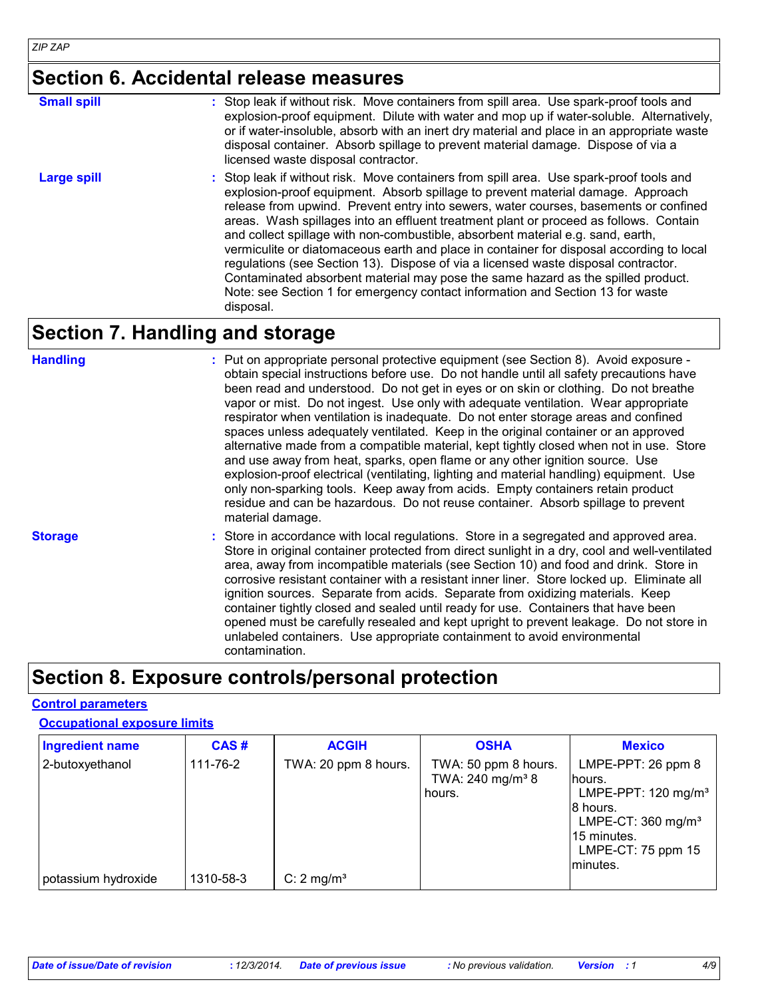#### **Section 6. Accidental release measures**

| <b>Small spill</b> | : Stop leak if without risk. Move containers from spill area. Use spark-proof tools and<br>explosion-proof equipment. Dilute with water and mop up if water-soluble. Alternatively,<br>or if water-insoluble, absorb with an inert dry material and place in an appropriate waste<br>disposal container. Absorb spillage to prevent material damage. Dispose of via a<br>licensed waste disposal contractor.                                                                                                                                                                                                                                                                                                                                                                                                        |
|--------------------|---------------------------------------------------------------------------------------------------------------------------------------------------------------------------------------------------------------------------------------------------------------------------------------------------------------------------------------------------------------------------------------------------------------------------------------------------------------------------------------------------------------------------------------------------------------------------------------------------------------------------------------------------------------------------------------------------------------------------------------------------------------------------------------------------------------------|
| Large spill        | : Stop leak if without risk. Move containers from spill area. Use spark-proof tools and<br>explosion-proof equipment. Absorb spillage to prevent material damage. Approach<br>release from upwind. Prevent entry into sewers, water courses, basements or confined<br>areas. Wash spillages into an effluent treatment plant or proceed as follows. Contain<br>and collect spillage with non-combustible, absorbent material e.g. sand, earth,<br>vermiculite or diatomaceous earth and place in container for disposal according to local<br>regulations (see Section 13). Dispose of via a licensed waste disposal contractor.<br>Contaminated absorbent material may pose the same hazard as the spilled product.<br>Note: see Section 1 for emergency contact information and Section 13 for waste<br>disposal. |

### **Section 7. Handling and storage**

| <b>Handling</b> | : Put on appropriate personal protective equipment (see Section 8). Avoid exposure -<br>obtain special instructions before use. Do not handle until all safety precautions have<br>been read and understood. Do not get in eyes or on skin or clothing. Do not breathe<br>vapor or mist. Do not ingest. Use only with adequate ventilation. Wear appropriate<br>respirator when ventilation is inadequate. Do not enter storage areas and confined<br>spaces unless adequately ventilated. Keep in the original container or an approved<br>alternative made from a compatible material, kept tightly closed when not in use. Store<br>and use away from heat, sparks, open flame or any other ignition source. Use<br>explosion-proof electrical (ventilating, lighting and material handling) equipment. Use<br>only non-sparking tools. Keep away from acids. Empty containers retain product<br>residue and can be hazardous. Do not reuse container. Absorb spillage to prevent<br>material damage. |
|-----------------|----------------------------------------------------------------------------------------------------------------------------------------------------------------------------------------------------------------------------------------------------------------------------------------------------------------------------------------------------------------------------------------------------------------------------------------------------------------------------------------------------------------------------------------------------------------------------------------------------------------------------------------------------------------------------------------------------------------------------------------------------------------------------------------------------------------------------------------------------------------------------------------------------------------------------------------------------------------------------------------------------------|
| <b>Storage</b>  | : Store in accordance with local regulations. Store in a segregated and approved area.<br>Store in original container protected from direct sunlight in a dry, cool and well-ventilated<br>area, away from incompatible materials (see Section 10) and food and drink. Store in<br>corrosive resistant container with a resistant inner liner. Store locked up. Eliminate all<br>ignition sources. Separate from acids. Separate from oxidizing materials. Keep<br>container tightly closed and sealed until ready for use. Containers that have been<br>opened must be carefully resealed and kept upright to prevent leakage. Do not store in<br>unlabeled containers. Use appropriate containment to avoid environmental<br>contamination.                                                                                                                                                                                                                                                            |

### **Section 8. Exposure controls/personal protection**

#### **Control parameters**

#### **Occupational exposure limits**

| <b>Ingredient name</b>                 | CAS#                  | <b>ACGIH</b>                                  | <b>OSHA</b>                                                    | <b>Mexico</b>                                                                                                                                                      |
|----------------------------------------|-----------------------|-----------------------------------------------|----------------------------------------------------------------|--------------------------------------------------------------------------------------------------------------------------------------------------------------------|
| 2-butoxyethanol<br>potassium hydroxide | 111-76-2<br>1310-58-3 | TWA: 20 ppm 8 hours.<br>C: $2 \text{ mg/m}^3$ | TWA: 50 ppm 8 hours.<br>TWA: 240 mg/m <sup>3</sup> 8<br>hours. | LMPE-PPT: $26$ ppm $8$<br>lhours.<br>LMPE-PPT: 120 mg/m <sup>3</sup><br>8 hours.<br>LMPE-CT: $360 \text{ mg/m}^3$<br>15 minutes.<br>LMPE-CT: 75 ppm 15<br>minutes. |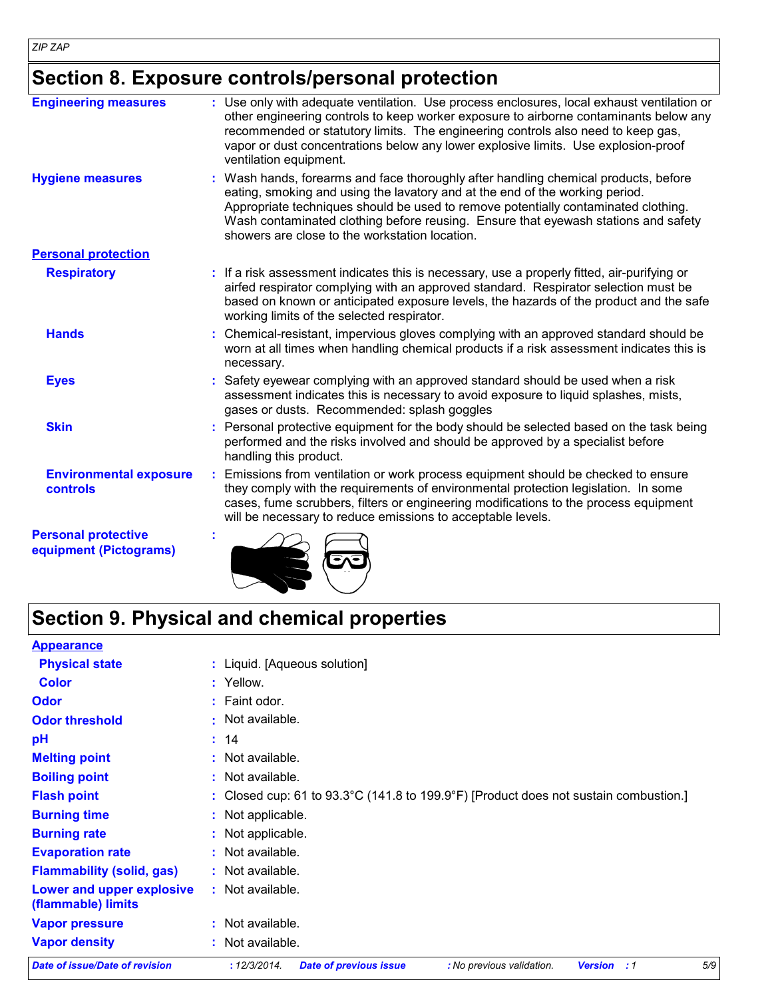### **Section 8. Exposure controls/personal protection**

| <b>Engineering measures</b>                          | : Use only with adequate ventilation. Use process enclosures, local exhaust ventilation or<br>other engineering controls to keep worker exposure to airborne contaminants below any<br>recommended or statutory limits. The engineering controls also need to keep gas,<br>vapor or dust concentrations below any lower explosive limits. Use explosion-proof<br>ventilation equipment.           |  |
|------------------------------------------------------|---------------------------------------------------------------------------------------------------------------------------------------------------------------------------------------------------------------------------------------------------------------------------------------------------------------------------------------------------------------------------------------------------|--|
| <b>Hygiene measures</b>                              | : Wash hands, forearms and face thoroughly after handling chemical products, before<br>eating, smoking and using the lavatory and at the end of the working period.<br>Appropriate techniques should be used to remove potentially contaminated clothing.<br>Wash contaminated clothing before reusing. Ensure that eyewash stations and safety<br>showers are close to the workstation location. |  |
| <b>Personal protection</b>                           |                                                                                                                                                                                                                                                                                                                                                                                                   |  |
| <b>Respiratory</b>                                   | : If a risk assessment indicates this is necessary, use a properly fitted, air-purifying or<br>airfed respirator complying with an approved standard. Respirator selection must be<br>based on known or anticipated exposure levels, the hazards of the product and the safe<br>working limits of the selected respirator.                                                                        |  |
| <b>Hands</b>                                         | Chemical-resistant, impervious gloves complying with an approved standard should be<br>worn at all times when handling chemical products if a risk assessment indicates this is<br>necessary.                                                                                                                                                                                                     |  |
| <b>Eyes</b>                                          | Safety eyewear complying with an approved standard should be used when a risk<br>assessment indicates this is necessary to avoid exposure to liquid splashes, mists,<br>gases or dusts. Recommended: splash goggles                                                                                                                                                                               |  |
| <b>Skin</b>                                          | Personal protective equipment for the body should be selected based on the task being<br>performed and the risks involved and should be approved by a specialist before<br>handling this product.                                                                                                                                                                                                 |  |
| <b>Environmental exposure</b><br>controls            | Emissions from ventilation or work process equipment should be checked to ensure<br>they comply with the requirements of environmental protection legislation. In some<br>cases, fume scrubbers, filters or engineering modifications to the process equipment<br>will be necessary to reduce emissions to acceptable levels.                                                                     |  |
| <b>Personal protective</b><br>equipment (Pictograms) |                                                                                                                                                                                                                                                                                                                                                                                                   |  |

### **Section 9. Physical and chemical properties**

| <b>Appearance</b>                               |                                                                                                                       |
|-------------------------------------------------|-----------------------------------------------------------------------------------------------------------------------|
| <b>Physical state</b>                           | : Liquid. [Aqueous solution]                                                                                          |
| <b>Color</b>                                    | : Yellow.                                                                                                             |
| <b>Odor</b>                                     | $:$ Faint odor.                                                                                                       |
| <b>Odor threshold</b>                           | $:$ Not available.                                                                                                    |
| pH                                              | : 14                                                                                                                  |
| <b>Melting point</b>                            | : Not available.                                                                                                      |
| <b>Boiling point</b>                            | : Not available.                                                                                                      |
| <b>Flash point</b>                              | : Closed cup: 61 to $93.3^{\circ}$ C (141.8 to 199.9 $^{\circ}$ F) [Product does not sustain combustion.]             |
| <b>Burning time</b>                             | : Not applicable.                                                                                                     |
| <b>Burning rate</b>                             | : Not applicable.                                                                                                     |
| <b>Evaporation rate</b>                         | : Not available.                                                                                                      |
| <b>Flammability (solid, gas)</b>                | : Not available.                                                                                                      |
| Lower and upper explosive<br>(flammable) limits | : Not available.                                                                                                      |
| <b>Vapor pressure</b>                           | : Not available.                                                                                                      |
| <b>Vapor density</b>                            | : Not available.                                                                                                      |
| Date of issue/Date of revision                  | 5/9<br>: 12/3/2014.<br><b>Date of previous issue</b><br>: No previous validation.<br><b>Version</b><br>$\therefore$ 1 |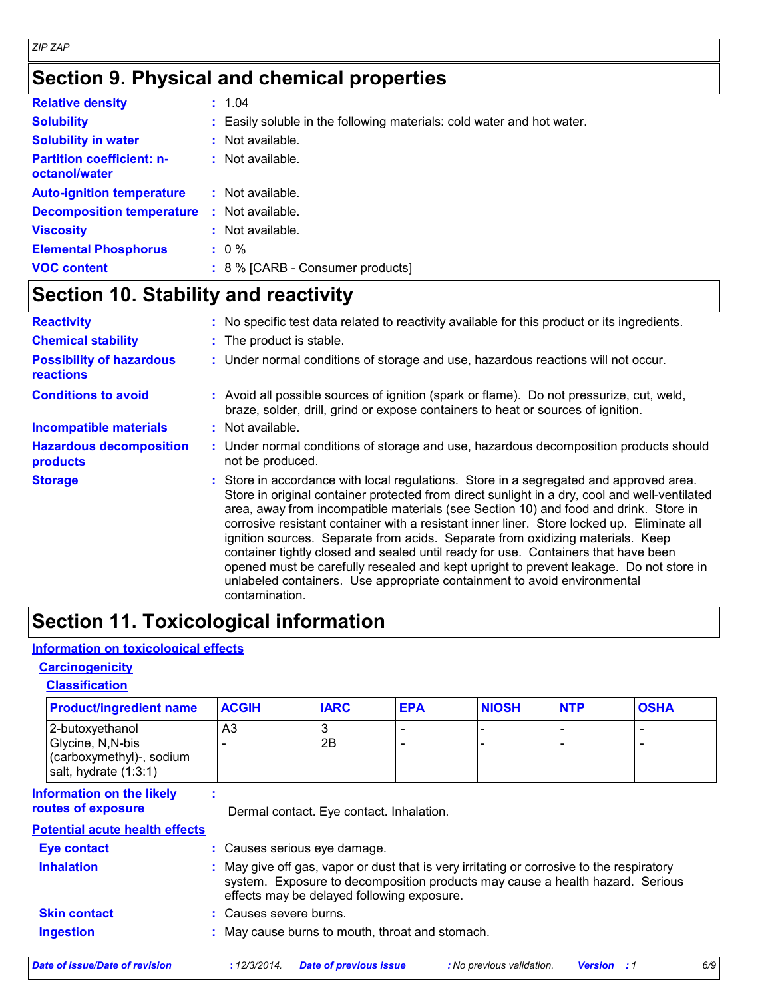### **Section 9. Physical and chemical properties**

| <b>Relative density</b>                           | : 1.04                                                                 |
|---------------------------------------------------|------------------------------------------------------------------------|
| <b>Solubility</b>                                 | : Easily soluble in the following materials: cold water and hot water. |
| <b>Solubility in water</b>                        | : Not available.                                                       |
| <b>Partition coefficient: n-</b><br>octanol/water | $:$ Not available.                                                     |
| <b>Auto-ignition temperature</b>                  | : Not available.                                                       |
| <b>Decomposition temperature</b>                  | : Not available.                                                       |
| <b>Viscosity</b>                                  | $:$ Not available.                                                     |
| <b>Elemental Phosphorus</b>                       | $: 0 \%$                                                               |
| <b>VOC content</b>                                | : 8 % [CARB - Consumer products]                                       |

### **Section 10. Stability and reactivity**

| <b>Reactivity</b>                            | : No specific test data related to reactivity available for this product or its ingredients.                                                                                                                                                                                                                                                                                                                                                                                                                                                                                                                                                                                                                                                  |
|----------------------------------------------|-----------------------------------------------------------------------------------------------------------------------------------------------------------------------------------------------------------------------------------------------------------------------------------------------------------------------------------------------------------------------------------------------------------------------------------------------------------------------------------------------------------------------------------------------------------------------------------------------------------------------------------------------------------------------------------------------------------------------------------------------|
| <b>Chemical stability</b>                    | : The product is stable.                                                                                                                                                                                                                                                                                                                                                                                                                                                                                                                                                                                                                                                                                                                      |
| <b>Possibility of hazardous</b><br>reactions | : Under normal conditions of storage and use, hazardous reactions will not occur.                                                                                                                                                                                                                                                                                                                                                                                                                                                                                                                                                                                                                                                             |
| <b>Conditions to avoid</b>                   | : Avoid all possible sources of ignition (spark or flame). Do not pressurize, cut, weld,<br>braze, solder, drill, grind or expose containers to heat or sources of ignition.                                                                                                                                                                                                                                                                                                                                                                                                                                                                                                                                                                  |
| <b>Incompatible materials</b>                | $:$ Not available.                                                                                                                                                                                                                                                                                                                                                                                                                                                                                                                                                                                                                                                                                                                            |
| <b>Hazardous decomposition</b><br>products   | : Under normal conditions of storage and use, hazardous decomposition products should<br>not be produced.                                                                                                                                                                                                                                                                                                                                                                                                                                                                                                                                                                                                                                     |
| <b>Storage</b>                               | : Store in accordance with local regulations. Store in a segregated and approved area.<br>Store in original container protected from direct sunlight in a dry, cool and well-ventilated<br>area, away from incompatible materials (see Section 10) and food and drink. Store in<br>corrosive resistant container with a resistant inner liner. Store locked up. Eliminate all<br>ignition sources. Separate from acids. Separate from oxidizing materials. Keep<br>container tightly closed and sealed until ready for use. Containers that have been<br>opened must be carefully resealed and kept upright to prevent leakage. Do not store in<br>unlabeled containers. Use appropriate containment to avoid environmental<br>contamination. |

#### **Section 11. Toxicological information**

#### **Information on toxicological effects**

#### **Carcinogenicity**

#### **Classification**

| <b>Product/ingredient name</b>                                                            | <b>ACGIH</b>                                                                                                                                                                                                             | <b>IARC</b>                                     | <b>EPA</b> | <b>NIOSH</b> | <b>NTP</b> | <b>OSHA</b> |
|-------------------------------------------------------------------------------------------|--------------------------------------------------------------------------------------------------------------------------------------------------------------------------------------------------------------------------|-------------------------------------------------|------------|--------------|------------|-------------|
| 2-butoxyethanol<br>Glycine, N, N-bis<br>(carboxymethyl)-, sodium<br>salt, hydrate (1:3:1) | A <sub>3</sub>                                                                                                                                                                                                           | 3<br>2B                                         |            |              |            |             |
| <b>Information on the likely</b><br>routes of exposure                                    |                                                                                                                                                                                                                          | Dermal contact. Eye contact. Inhalation.        |            |              |            |             |
| <b>Potential acute health effects</b>                                                     |                                                                                                                                                                                                                          |                                                 |            |              |            |             |
| Eye contact                                                                               |                                                                                                                                                                                                                          | : Causes serious eye damage.                    |            |              |            |             |
| <b>Inhalation</b>                                                                         | : May give off gas, vapor or dust that is very irritating or corrosive to the respiratory<br>system. Exposure to decomposition products may cause a health hazard. Serious<br>effects may be delayed following exposure. |                                                 |            |              |            |             |
| <b>Skin contact</b>                                                                       |                                                                                                                                                                                                                          | : Causes severe burns.                          |            |              |            |             |
| <b>Ingestion</b>                                                                          |                                                                                                                                                                                                                          | : May cause burns to mouth, throat and stomach. |            |              |            |             |

*Date of issue/Date of revision* **:** *12/3/2014. Date of previous issue : No previous validation. Version : 1 6/9*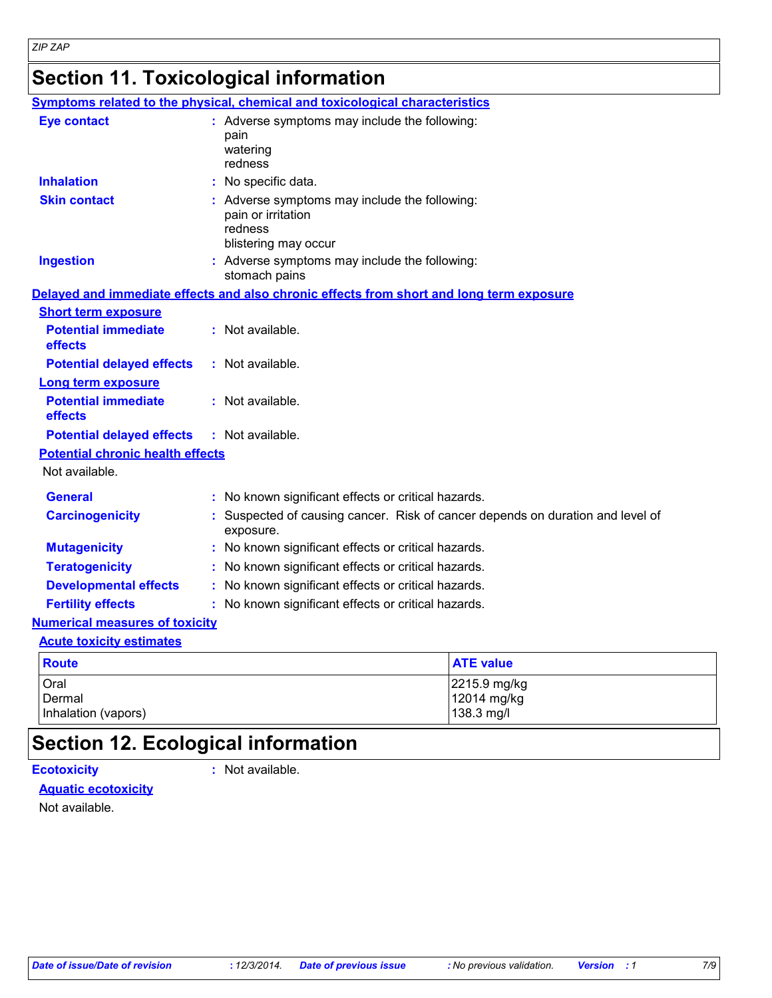# **Section 11. Toxicological information**

|                                                                     | <b>Symptoms related to the physical, chemical and toxicological characteristics</b>                    |  |  |
|---------------------------------------------------------------------|--------------------------------------------------------------------------------------------------------|--|--|
| <b>Eye contact</b>                                                  | : Adverse symptoms may include the following:<br>pain<br>watering<br>redness                           |  |  |
| <b>Inhalation</b>                                                   | : No specific data.                                                                                    |  |  |
| <b>Skin contact</b>                                                 | : Adverse symptoms may include the following:<br>pain or irritation<br>redness<br>blistering may occur |  |  |
| <b>Ingestion</b>                                                    | : Adverse symptoms may include the following:<br>stomach pains                                         |  |  |
|                                                                     | Delayed and immediate effects and also chronic effects from short and long term exposure               |  |  |
| <b>Short term exposure</b><br><b>Potential immediate</b><br>effects | : Not available.                                                                                       |  |  |
| <b>Potential delayed effects</b>                                    | $:$ Not available.                                                                                     |  |  |
| <b>Long term exposure</b>                                           |                                                                                                        |  |  |
| <b>Potential immediate</b><br>effects                               | : Not available.                                                                                       |  |  |
| <b>Potential delayed effects</b>                                    | : Not available.                                                                                       |  |  |
| <b>Potential chronic health effects</b>                             |                                                                                                        |  |  |
| Not available.                                                      |                                                                                                        |  |  |
| <b>General</b>                                                      | : No known significant effects or critical hazards.                                                    |  |  |
| <b>Carcinogenicity</b>                                              | : Suspected of causing cancer. Risk of cancer depends on duration and level of<br>exposure.            |  |  |
| <b>Mutagenicity</b>                                                 | : No known significant effects or critical hazards.                                                    |  |  |
| <b>Teratogenicity</b>                                               | : No known significant effects or critical hazards.                                                    |  |  |
| <b>Developmental effects</b>                                        | : No known significant effects or critical hazards.                                                    |  |  |
| <b>Fertility effects</b>                                            | : No known significant effects or critical hazards.                                                    |  |  |
| <b>Numerical measures of toxicity</b>                               |                                                                                                        |  |  |
| <b>Acute toxicity estimates</b>                                     |                                                                                                        |  |  |
| <b>Route</b>                                                        | <b>ATE value</b>                                                                                       |  |  |
| Oral<br>Dermal<br>Inhalation (vapors)                               | 2215.9 mg/kg<br>12014 mg/kg<br>138.3 mg/l                                                              |  |  |

### **Section 12. Ecological information**

**Ecotoxicity :**

: Not available.

#### **Aquatic ecotoxicity**

Not available.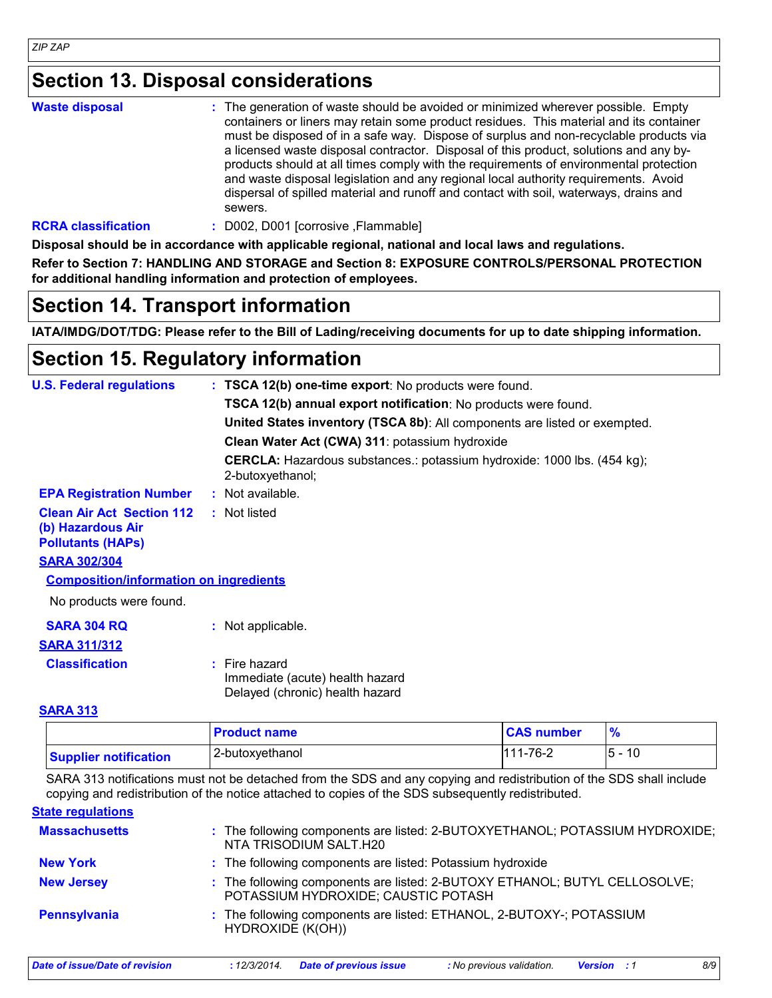#### **Section 13. Disposal considerations**

| <b>Waste disposal</b>  | : The generation of waste should be avoided or minimized wherever possible. Empty<br>containers or liners may retain some product residues. This material and its container<br>must be disposed of in a safe way. Dispose of surplus and non-recyclable products via<br>a licensed waste disposal contractor. Disposal of this product, solutions and any by-<br>products should at all times comply with the requirements of environmental protection<br>and waste disposal legislation and any regional local authority requirements. Avoid<br>dispersal of spilled material and runoff and contact with soil, waterways, drains and<br>sewers. |
|------------------------|---------------------------------------------------------------------------------------------------------------------------------------------------------------------------------------------------------------------------------------------------------------------------------------------------------------------------------------------------------------------------------------------------------------------------------------------------------------------------------------------------------------------------------------------------------------------------------------------------------------------------------------------------|
| <b>DODA</b> ALAAMAAHAA | DOOQ DOOL Leemesiye Flammaaklal                                                                                                                                                                                                                                                                                                                                                                                                                                                                                                                                                                                                                   |

**RCRA classification :** D002, D001 [corrosive ,Flammable]

**Disposal should be in accordance with applicable regional, national and local laws and regulations.**

**Refer to Section 7: HANDLING AND STORAGE and Section 8: EXPOSURE CONTROLS/PERSONAL PROTECTION for additional handling information and protection of employees.**

#### **Section 14. Transport information**

**IATA/IMDG/DOT/TDG: Please refer to the Bill of Lading/receiving documents for up to date shipping information.**

### **Section 15. Regulatory information**

| <b>U.S. Federal regulations</b>                                                   | : TSCA 12(b) one-time export: No products were found.                                              |
|-----------------------------------------------------------------------------------|----------------------------------------------------------------------------------------------------|
|                                                                                   | TSCA 12(b) annual export notification: No products were found.                                     |
|                                                                                   | United States inventory (TSCA 8b): All components are listed or exempted.                          |
|                                                                                   | Clean Water Act (CWA) 311: potassium hydroxide                                                     |
|                                                                                   | <b>CERCLA:</b> Hazardous substances.: potassium hydroxide: 1000 lbs. (454 kg);<br>2-butoxyethanol; |
| <b>EPA Registration Number</b>                                                    | : Not available.                                                                                   |
| <b>Clean Air Act Section 112</b><br>(b) Hazardous Air<br><b>Pollutants (HAPS)</b> | : Not listed                                                                                       |
| <b>SARA 302/304</b>                                                               |                                                                                                    |
| <b>Composition/information on ingredients</b>                                     |                                                                                                    |
| No products were found.                                                           |                                                                                                    |
| <b>SARA 304 RQ</b>                                                                | : Not applicable.                                                                                  |
| <b>SARA 311/312</b>                                                               |                                                                                                    |
| <b>Classification</b>                                                             | $:$ Fire hazard<br>Immediate (acute) health hazard<br>Delayed (chronic) health hazard              |

#### **SARA 313**

|                              | <b>Product name</b> | <b>CAS number</b> |               |
|------------------------------|---------------------|-------------------|---------------|
| <b>Supplier notification</b> | 2-butoxyethanol     | $111 - 76 - 2$    | - 10<br>$5 -$ |

SARA 313 notifications must not be detached from the SDS and any copying and redistribution of the SDS shall include copying and redistribution of the notice attached to copies of the SDS subsequently redistributed.

**State regulations**

| <b>Massachusetts</b>           | : The following components are listed: 2-BUTOXYETHANOL; POTASSIUM HYDROXIDE;<br>NTA TRISODIUM SALT.H20            |
|--------------------------------|-------------------------------------------------------------------------------------------------------------------|
| <b>New York</b>                | : The following components are listed: Potassium hydroxide                                                        |
| <b>New Jersey</b>              | : The following components are listed: 2-BUTOXY ETHANOL; BUTYL CELLOSOLVE;<br>POTASSIUM HYDROXIDE; CAUSTIC POTASH |
| Pennsylvania                   | : The following components are listed: ETHANOL, 2-BUTOXY-; POTASSIUM<br>HYDROXIDE (K(OH))                         |
| Date of issue/Date of revision | 8/9<br><b>Date of previous issue</b><br>: No previous validation.<br>: 12/3/2014.<br><b>Version</b> : 1           |